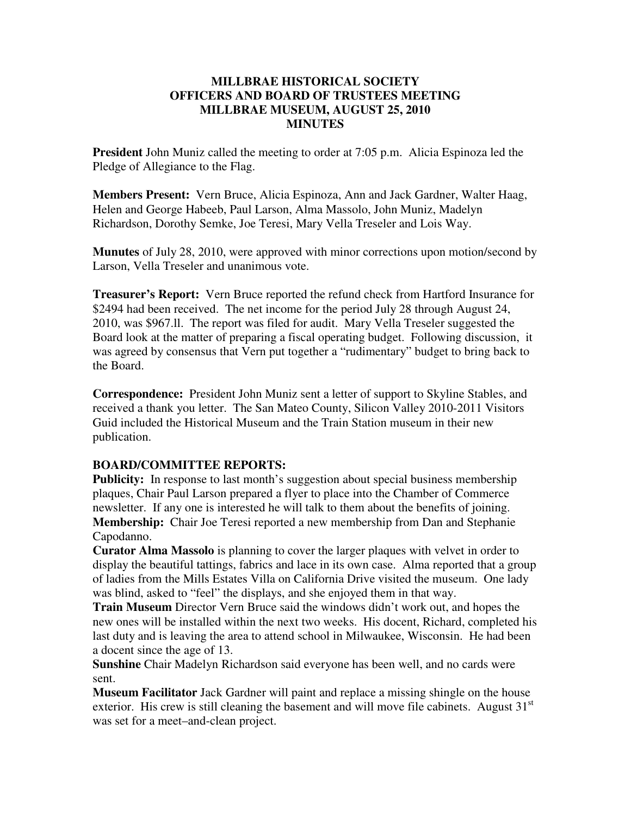## **MILLBRAE HISTORICAL SOCIETY OFFICERS AND BOARD OF TRUSTEES MEETING MILLBRAE MUSEUM, AUGUST 25, 2010 MINUTES**

**President** John Muniz called the meeting to order at 7:05 p.m. Alicia Espinoza led the Pledge of Allegiance to the Flag.

**Members Present:** Vern Bruce, Alicia Espinoza, Ann and Jack Gardner, Walter Haag, Helen and George Habeeb, Paul Larson, Alma Massolo, John Muniz, Madelyn Richardson, Dorothy Semke, Joe Teresi, Mary Vella Treseler and Lois Way.

**Munutes** of July 28, 2010, were approved with minor corrections upon motion/second by Larson, Vella Treseler and unanimous vote.

**Treasurer's Report:** Vern Bruce reported the refund check from Hartford Insurance for \$2494 had been received. The net income for the period July 28 through August 24, 2010, was \$967.ll. The report was filed for audit. Mary Vella Treseler suggested the Board look at the matter of preparing a fiscal operating budget. Following discussion, it was agreed by consensus that Vern put together a "rudimentary" budget to bring back to the Board.

**Correspondence:** President John Muniz sent a letter of support to Skyline Stables, and received a thank you letter. The San Mateo County, Silicon Valley 2010-2011 Visitors Guid included the Historical Museum and the Train Station museum in their new publication.

## **BOARD/COMMITTEE REPORTS:**

**Publicity:** In response to last month's suggestion about special business membership plaques, Chair Paul Larson prepared a flyer to place into the Chamber of Commerce newsletter. If any one is interested he will talk to them about the benefits of joining. **Membership:** Chair Joe Teresi reported a new membership from Dan and Stephanie Capodanno.

**Curator Alma Massolo** is planning to cover the larger plaques with velvet in order to display the beautiful tattings, fabrics and lace in its own case. Alma reported that a group of ladies from the Mills Estates Villa on California Drive visited the museum. One lady was blind, asked to "feel" the displays, and she enjoyed them in that way.

**Train Museum** Director Vern Bruce said the windows didn't work out, and hopes the new ones will be installed within the next two weeks. His docent, Richard, completed his last duty and is leaving the area to attend school in Milwaukee, Wisconsin. He had been a docent since the age of 13.

**Sunshine** Chair Madelyn Richardson said everyone has been well, and no cards were sent.

**Museum Facilitator** Jack Gardner will paint and replace a missing shingle on the house exterior. His crew is still cleaning the basement and will move file cabinets. August  $31<sup>st</sup>$ was set for a meet–and-clean project.